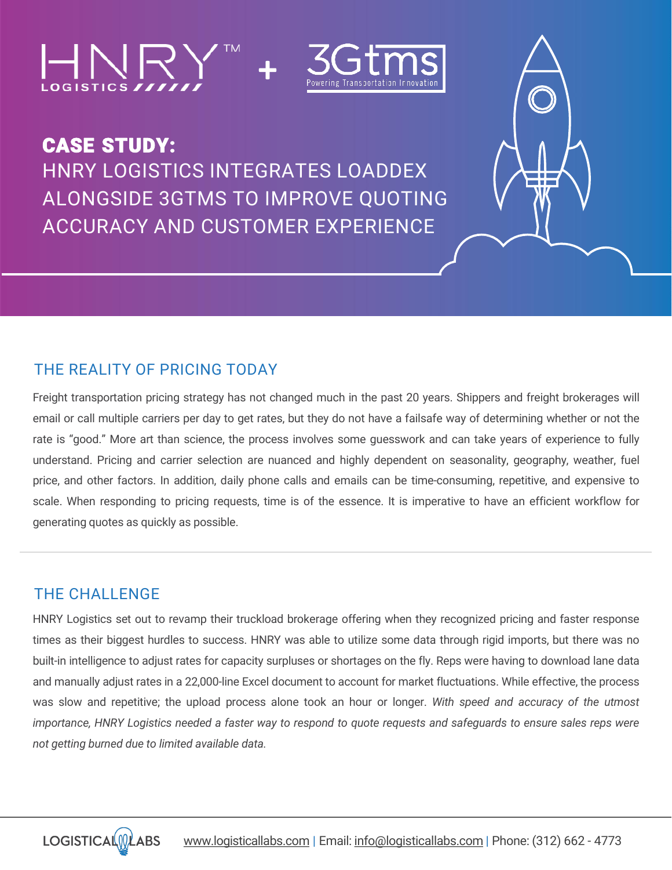



### CASE STUDY:

HNRY LOGISTICS INTEGRATES LOADDEX ALONGSIDE 3GTMS TO IMPROVE QUOTING ACCURACY AND CUSTOMER EXPERIENCE

### THE REALITY OF PRICING TODAY

Freight transportation pricing strategy has not changed much in the past 20 years. Shippers and freight brokerages will email or call multiple carriers per day to get rates, but they do not have a failsafe way of determining whether or not the rate is "good." More art than science, the process involves some guesswork and can take years of experience to fully understand. Pricing and carrier selection are nuanced and highly dependent on seasonality, geography, weather, fuel price, and other factors. In addition, daily phone calls and emails can be time-consuming, repetitive, and expensive to scale. When responding to pricing requests, time is of the essence. It is imperative to have an efficient workflow for generating quotes as quickly as possible.

#### THE CHALLENGE

HNRY Logistics set out to revamp their truckload brokerage offering when they recognized pricing and faster response times as their biggest hurdles to success. HNRY was able to utilize some data through rigid imports, but there was no built-in intelligence to adjust rates for capacity surpluses or shortages on the fly. Reps were having to download lane data and manually adjust rates in a 22,000-line Excel document to account for market fluctuations. While effective, the process was slow and repetitive; the upload process alone took an hour or longer. *With speed and accuracy of the utmost* importance, HNRY Logistics needed a faster way to respond to quote requests and safeguards to ensure sales reps were *not getting burned due to limited available data.*

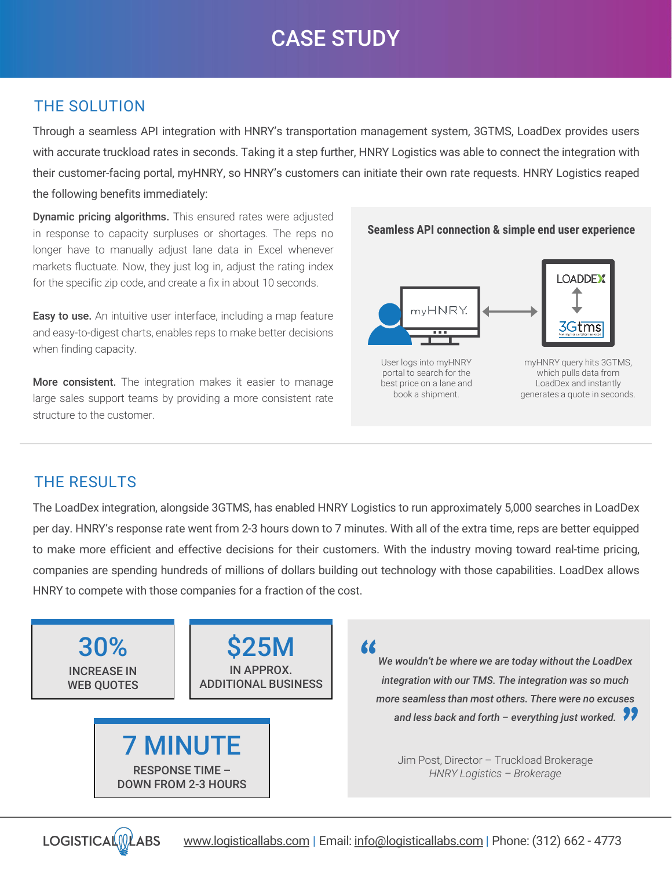# CASE STUDY

### THE SOLUTION

Through a seamless API integration with HNRY's transportation management system, 3GTMS, LoadDex provides users with accurate truckload rates in seconds. Taking it a step further, HNRY Logistics was able to connect the integration with their customer-facing portal, myHNRY, so HNRY's customers can initiate their own rate requests. HNRY Logistics reaped the following benefits immediately:

Dynamic pricing algorithms. This ensured rates were adjusted in response to capacity surpluses or shortages. The reps no longer have to manually adjust lane data in Excel whenever markets fluctuate. Now, they just log in, adjust the rating index for the specific zip code, and create a fix in about 10 seconds.

**Easy to use.** An intuitive user interface, including a map feature and easy-to-digest charts, enables reps to make better decisions when finding capacity.

More consistent. The integration makes it easier to manage large sales support teams by providing a more consistent rate structure to the customer.



Seamless API connection & simple end user experience

User logs into myHNRY portal to search for the best price on a lane and book a shipment.



### THE RESULTS

The LoadDex integration, alongside 3GTMS, has enabled HNRY Logistics to run approximately 5,000 searches in LoadDex per day. HNRY's response rate went from 2-3 hours down to 7 minutes. With all of the extra time, reps are better equipped to make more efficient and effective decisions for their customers. With the industry moving toward real-time pricing, companies are spending hundreds of millions of dollars building out technology with those capabilities. LoadDex allows HNRY to compete with those companies for a fraction of the cost.